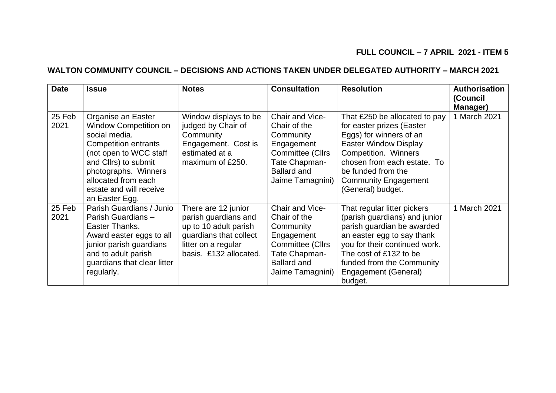## **FULL COUNCIL – 7 APRIL 2021 - ITEM 5**

## **WALTON COMMUNITY COUNCIL – DECISIONS AND ACTIONS TAKEN UNDER DELEGATED AUTHORITY – MARCH 2021**

| <b>Date</b>    | <b>Issue</b>                                                                                                                                                                                                                                     | <b>Notes</b>                                                                                                                                    | <b>Consultation</b>                                                                                                                              | <b>Resolution</b>                                                                                                                                                                                                                                             | <b>Authorisation</b><br>(Council<br>Manager) |
|----------------|--------------------------------------------------------------------------------------------------------------------------------------------------------------------------------------------------------------------------------------------------|-------------------------------------------------------------------------------------------------------------------------------------------------|--------------------------------------------------------------------------------------------------------------------------------------------------|---------------------------------------------------------------------------------------------------------------------------------------------------------------------------------------------------------------------------------------------------------------|----------------------------------------------|
| 25 Feb<br>2021 | Organise an Easter<br><b>Window Competition on</b><br>social media.<br><b>Competition entrants</b><br>(not open to WCC staff<br>and Cllrs) to submit<br>photographs. Winners<br>allocated from each<br>estate and will receive<br>an Easter Egg. | Window displays to be<br>judged by Chair of<br>Community<br>Engagement. Cost is<br>estimated at a<br>maximum of £250.                           | Chair and Vice-<br>Chair of the<br>Community<br>Engagement<br><b>Committee (Cllrs</b><br>Tate Chapman-<br><b>Ballard and</b><br>Jaime Tamagnini) | That £250 be allocated to pay<br>for easter prizes (Easter<br>Eggs) for winners of an<br><b>Easter Window Display</b><br><b>Competition. Winners</b><br>chosen from each estate. To<br>be funded from the<br><b>Community Engagement</b><br>(General) budget. | 1 March 2021                                 |
| 25 Feb<br>2021 | Parish Guardians / Junio<br>Parish Guardians -<br>Easter Thanks.<br>Award easter eggs to all<br>junior parish guardians<br>and to adult parish<br>guardians that clear litter<br>regularly.                                                      | There are 12 junior<br>parish guardians and<br>up to 10 adult parish<br>guardians that collect<br>litter on a regular<br>basis. £132 allocated. | Chair and Vice-<br>Chair of the<br>Community<br>Engagement<br><b>Committee (Cllrs</b><br>Tate Chapman-<br><b>Ballard and</b><br>Jaime Tamagnini) | That regular litter pickers<br>(parish guardians) and junior<br>parish guardian be awarded<br>an easter egg to say thank<br>you for their continued work.<br>The cost of £132 to be<br>funded from the Community<br>Engagement (General)<br>budget.           | 1 March 2021                                 |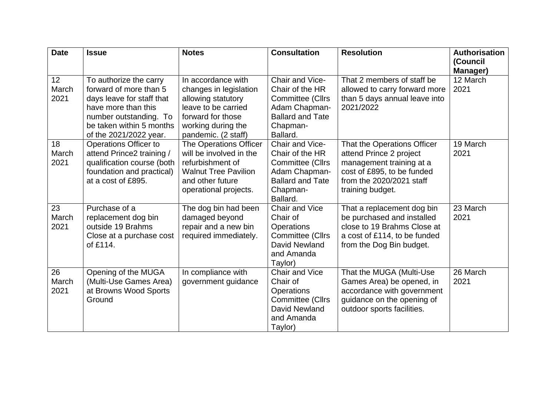| <b>Date</b>                      | <b>Issue</b>                                                                                                                                                                         | <b>Notes</b>                                                                                                                                                | <b>Consultation</b>                                                                                                               | <b>Resolution</b>                                                                                                                                                | <b>Authorisation</b><br>(Council<br>Manager) |
|----------------------------------|--------------------------------------------------------------------------------------------------------------------------------------------------------------------------------------|-------------------------------------------------------------------------------------------------------------------------------------------------------------|-----------------------------------------------------------------------------------------------------------------------------------|------------------------------------------------------------------------------------------------------------------------------------------------------------------|----------------------------------------------|
| 12 <sup>2</sup><br>March<br>2021 | To authorize the carry<br>forward of more than 5<br>days leave for staff that<br>have more than this<br>number outstanding. To<br>be taken within 5 months<br>of the 2021/2022 year. | In accordance with<br>changes in legislation<br>allowing statutory<br>leave to be carried<br>forward for those<br>working during the<br>pandemic. (2 staff) | Chair and Vice-<br>Chair of the HR<br><b>Committee (Cllrs</b><br>Adam Chapman-<br><b>Ballard and Tate</b><br>Chapman-<br>Ballard. | That 2 members of staff be<br>allowed to carry forward more<br>than 5 days annual leave into<br>2021/2022                                                        | 12 March<br>2021                             |
| 18<br>March<br>2021              | <b>Operations Officer to</b><br>attend Prince2 training /<br>qualification course (both<br>foundation and practical)<br>at a cost of £895.                                           | The Operations Officer<br>will be involved in the<br>refurbishment of<br><b>Walnut Tree Pavilion</b><br>and other future<br>operational projects.           | Chair and Vice-<br>Chair of the HR<br><b>Committee (Cllrs</b><br>Adam Chapman-<br><b>Ballard and Tate</b><br>Chapman-<br>Ballard. | That the Operations Officer<br>attend Prince 2 project<br>management training at a<br>cost of £895, to be funded<br>from the 2020/2021 staff<br>training budget. | 19 March<br>2021                             |
| 23<br>March<br>2021              | Purchase of a<br>replacement dog bin<br>outside 19 Brahms<br>Close at a purchase cost<br>of £114.                                                                                    | The dog bin had been<br>damaged beyond<br>repair and a new bin<br>required immediately.                                                                     | <b>Chair and Vice</b><br>Chair of<br><b>Operations</b><br><b>Committee (Cllrs</b><br>David Newland<br>and Amanda<br>Taylor)       | That a replacement dog bin<br>be purchased and installed<br>close to 19 Brahms Close at<br>a cost of £114, to be funded<br>from the Dog Bin budget.              | 23 March<br>2021                             |
| 26<br>March<br>2021              | Opening of the MUGA<br>(Multi-Use Games Area)<br>at Browns Wood Sports<br>Ground                                                                                                     | In compliance with<br>government guidance                                                                                                                   | <b>Chair and Vice</b><br>Chair of<br><b>Operations</b><br><b>Committee (Cllrs</b><br>David Newland<br>and Amanda<br>Taylor)       | That the MUGA (Multi-Use<br>Games Area) be opened, in<br>accordance with government<br>guidance on the opening of<br>outdoor sports facilities.                  | 26 March<br>2021                             |